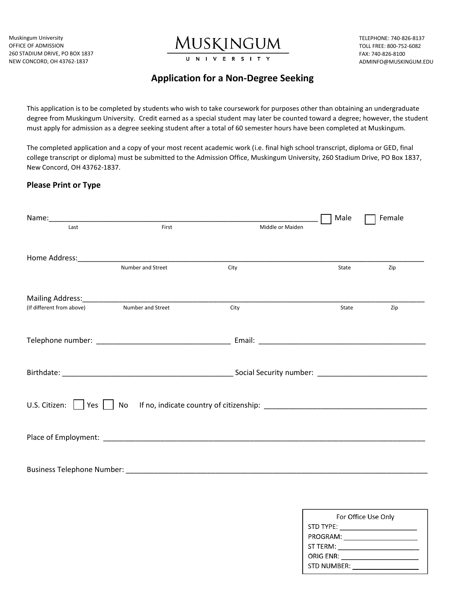Muskingum University OFFICE OF ADMISSION 260 STADIUM DRIVE, PO BOX 1837 NEW CONCORD, OH 43762-1837



TELEPHONE: 740-826-8137 TOLL FREE: 800-752-6082 FAX: 740-826-8100 ADMINFO@MUSKINGUM.EDU

## **Application for a Non-Degree Seeking**

This application is to be completed by students who wish to take coursework for purposes other than obtaining an undergraduate degree from Muskingum University. Credit earned as a special student may later be counted toward a degree; however, the student must apply for admission as a degree seeking student after a total of 60 semester hours have been completed at Muskingum.

The completed application and a copy of your most recent academic work (i.e. final high school transcript, diploma or GED, final college transcript or diploma) must be submitted to the Admission Office, Muskingum University, 260 Stadium Drive, PO Box 1837, New Concord, OH 43762-1837.

## **Please Print or Type**

|                             |                                                                                  |                  | Male  | Female |  |  |
|-----------------------------|----------------------------------------------------------------------------------|------------------|-------|--------|--|--|
| Last                        | First                                                                            | Middle or Maiden |       |        |  |  |
|                             |                                                                                  |                  |       |        |  |  |
|                             |                                                                                  |                  |       |        |  |  |
|                             | Number and Street                                                                | City             | State | Zip    |  |  |
|                             |                                                                                  |                  |       |        |  |  |
|                             |                                                                                  |                  |       |        |  |  |
| (If different from above)   | Number and Street                                                                | City             | State | Zip    |  |  |
|                             |                                                                                  |                  |       |        |  |  |
|                             |                                                                                  |                  |       |        |  |  |
|                             |                                                                                  |                  |       |        |  |  |
|                             |                                                                                  |                  |       |        |  |  |
|                             |                                                                                  |                  |       |        |  |  |
|                             |                                                                                  |                  |       |        |  |  |
| U.S. Citizen: $\vert \vert$ |                                                                                  |                  |       |        |  |  |
|                             | Yes   No If no, indicate country of citizenship: _______________________________ |                  |       |        |  |  |
|                             |                                                                                  |                  |       |        |  |  |
|                             |                                                                                  |                  |       |        |  |  |
|                             |                                                                                  |                  |       |        |  |  |
|                             |                                                                                  |                  |       |        |  |  |
| Business Telephone Number:  |                                                                                  |                  |       |        |  |  |